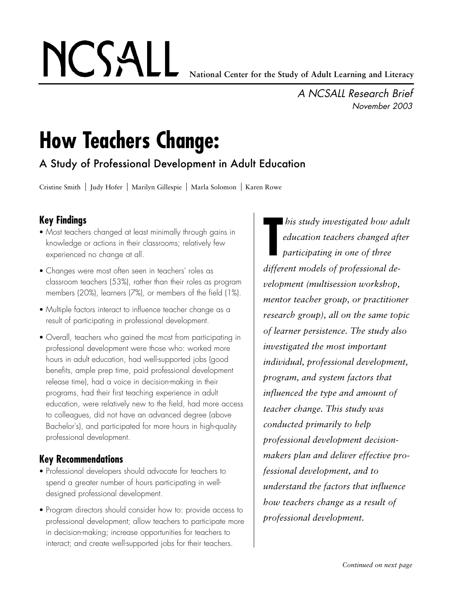# NCSALL

*A NCSALL Research Brief November 2003*

## **How Teachers Change:**

A Study of Professional Development in Adult Education

Cristine Smith | Judy Hofer | Marilyn Gillespie | Marla Solomon | Karen Rowe

### **Key Findings**

- *•* Most teachers changed at least minimally through gains in knowledge or actions in their classrooms; relatively few experienced no change at all.
- *•* Changes were most often seen in teachers' roles as classroom teachers (53%), rather than their roles as program members (20%), learners (7%), or members of the field (1%).
- Multiple factors interact to influence teacher change as a result of participating in professional development.
- *•* Overall, teachers who gained the most from participating in professional development were those who: worked more hours in adult education, had well-supported jobs (good benefits, ample prep time, paid professional development release time), had a voice in decision-making in their programs, had their first teaching experience in adult education, were relatively new to the field, had more access to colleagues, did not have an advanced degree (above Bachelor's), and participated for more hours in high-quality professional development.

#### **Key Recommendations**

- *•* Professional developers should advocate for teachers to spend a greater number of hours participating in welldesigned professional development.
- *•* Program directors should consider how to: provide access to professional development; allow teachers to participate more in decision-making; increase opportunities for teachers to interact; and create well-supported jobs for their teachers.

**T** *his study investigated how adult education teachers changed after participating in one of three different models of professional development (multisession workshop, mentor teacher group, or practitioner research group), all on the same topic of learner persistence. The study also investigated the most important individual, professional development, program, and system factors that influenced the type and amount of teacher change. This study was conducted primarily to help professional development decisionmakers plan and deliver effective professional development, and to understand the factors that influence how teachers change as a result of professional development.*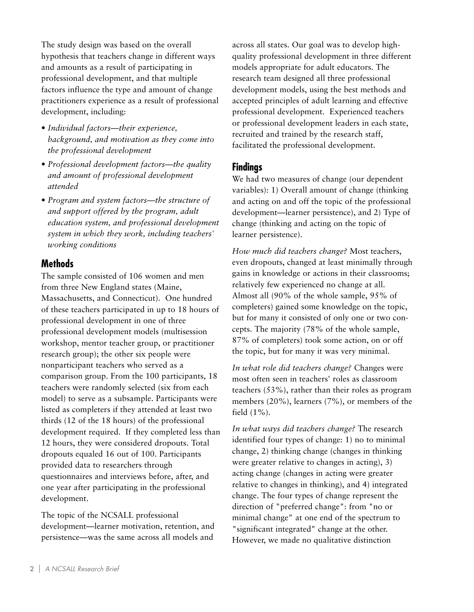The study design was based on the overall hypothesis that teachers change in different ways and amounts as a result of participating in professional development, and that multiple factors influence the type and amount of change practitioners experience as a result of professional development, including:

- *• Individual factors—their experience, background, and motivation as they come into the professional development*
- *• Professional development factors—the quality and amount of professional development attended*
- *• Program and system factors—the structure of and support offered by the program, adult education system, and professional development system in which they work, including teachers' working conditions*

#### **Methods**

The sample consisted of 106 women and men from three New England states (Maine, Massachusetts, and Connecticut). One hundred of these teachers participated in up to 18 hours of professional development in one of three professional development models (multisession workshop, mentor teacher group, or practitioner research group); the other six people were nonparticipant teachers who served as a comparison group. From the 100 participants, 18 teachers were randomly selected (six from each model) to serve as a subsample. Participants were listed as completers if they attended at least two thirds (12 of the 18 hours) of the professional development required. If they completed less than 12 hours, they were considered dropouts. Total dropouts equaled 16 out of 100. Participants provided data to researchers through questionnaires and interviews before, after, and one year after participating in the professional development.

The topic of the NCSALL professional development—learner motivation, retention, and persistence—was the same across all models and across all states. Our goal was to develop highquality professional development in three different models appropriate for adult educators. The research team designed all three professional development models, using the best methods and accepted principles of adult learning and effective professional development. Experienced teachers or professional development leaders in each state, recruited and trained by the research staff, facilitated the professional development.

#### **Findings**

We had two measures of change (our dependent variables): 1) Overall amount of change (thinking and acting on and off the topic of the professional development—learner persistence), and 2) Type of change (thinking and acting on the topic of learner persistence).

*How much did teachers change?* Most teachers, even dropouts, changed at least minimally through gains in knowledge or actions in their classrooms; relatively few experienced no change at all. Almost all (90% of the whole sample, 95% of completers) gained some knowledge on the topic, but for many it consisted of only one or two concepts. The majority (78% of the whole sample, 87% of completers) took some action, on or off the topic, but for many it was very minimal.

*In what role did teachers change?* Changes were most often seen in teachers' roles as classroom teachers (53%), rather than their roles as program members (20%), learners (7%), or members of the field (1%).

*In what ways did teachers change?* The research identified four types of change: 1) no to minimal change, 2) thinking change (changes in thinking were greater relative to changes in acting), 3) acting change (changes in acting were greater relative to changes in thinking), and 4) integrated change. The four types of change represent the direction of "preferred change": from "no or minimal change" at one end of the spectrum to "significant integrated" change at the other. However, we made no qualitative distinction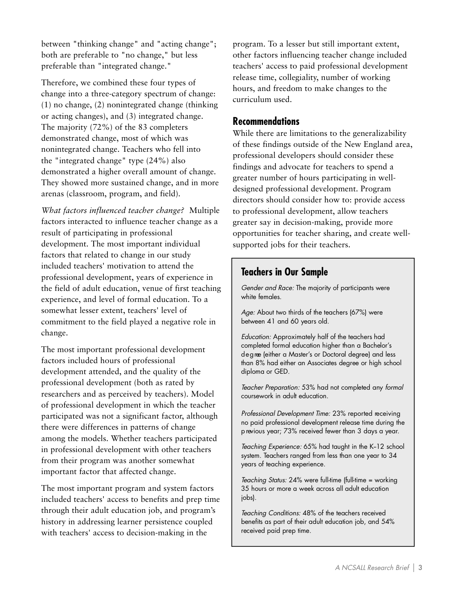between "thinking change" and "acting change"; both are preferable to "no change," but less preferable than "integrated change."

Therefore, we combined these four types of change into a three-category spectrum of change: (1) no change, (2) nonintegrated change (thinking or acting changes), and (3) integrated change. The majority (72%) of the 83 completers demonstrated change, most of which was nonintegrated change. Teachers who fell into the "integrated change" type (24%) also demonstrated a higher overall amount of change. They showed more sustained change, and in more arenas (classroom, program, and field).

*What factors influenced teacher change?* Multiple factors interacted to influence teacher change as a result of participating in professional development. The most important individual factors that related to change in our study included teachers' motivation to attend the professional development, years of experience in the field of adult education, venue of first teaching experience, and level of formal education. To a somewhat lesser extent, teachers' level of commitment to the field played a negative role in change.

The most important professional development factors included hours of professional development attended, and the quality of the professional development (both as rated by researchers and as perceived by teachers). Model of professional development in which the teacher participated was not a significant factor, although there were differences in patterns of change among the models. Whether teachers participated in professional development with other teachers from their program was another somewhat important factor that affected change.

The most important program and system factors included teachers' access to benefits and prep time through their adult education job, and program's history in addressing learner persistence coupled with teachers' access to decision-making in the

program. To a lesser but still important extent, other factors influencing teacher change included teachers' access to paid professional development release time, collegiality, number of working hours, and freedom to make changes to the curriculum used.

#### **Recommendations**

While there are limitations to the generalizability of these findings outside of the New England area, professional developers should consider these findings and advocate for teachers to spend a greater number of hours participating in welldesigned professional development. Program directors should consider how to: provide access to professional development, allow teachers greater say in decision-making, provide more opportunities for teacher sharing, and create wellsupported jobs for their teachers.

#### **Teachers in Our Sample**

*Gender and Race:* The majority of participants were white females.

Age: About two thirds of the teachers (67%) were between 41 and 60 years old.

*Education:* Approximately half of the teachers had completed formal education higher than a Bachelor's d e g ree (either a Master's or Doctoral degree) and less than 8% had either an Associates degree or high school diploma or GED.

*Teacher Preparation:* 53% had not completed any *formal* coursework in adult education.

*Professional Development Time:* 23% reported receiving no paid professional development release time during the p revious year; 73% received fewer than 3 days a year.

*Teaching Experience:* 65% had taught in the K-12 school system. Teachers ranged from less than one year to 34 years of teaching experience.

*Teaching Status:* 24% were full-time (full-time = working 35 hours or more a week across all adult education jobs).

*Teaching Conditions:* 48% of the teachers received benefits as part of their adult education job, and 54% received paid prep time.